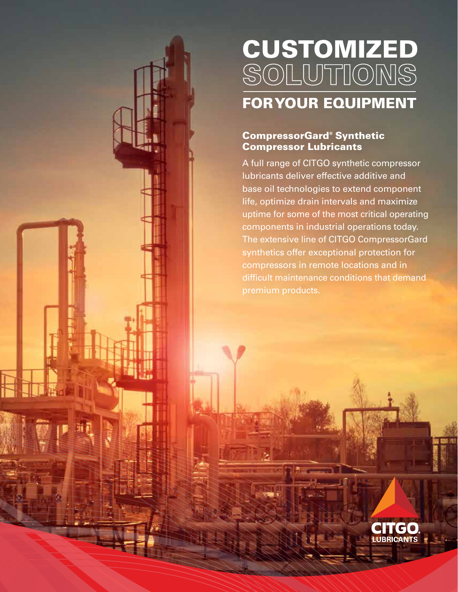# CUSTOMIZED SOLUTIONS FOR YOUR EQUIPMENT

## CompressorGard® Synthetic Compressor Lubricants

A full range of CITGO synthetic compressor lubricants deliver effective additive and base oil technologies to extend component life, optimize drain intervals and maximize uptime for some of the most critical operating components in industrial operations today. The extensive line of CITGO CompressorGard synthetics offer exceptional protection for compressors in remote locations and in difficult maintenance conditions that demand premium products.